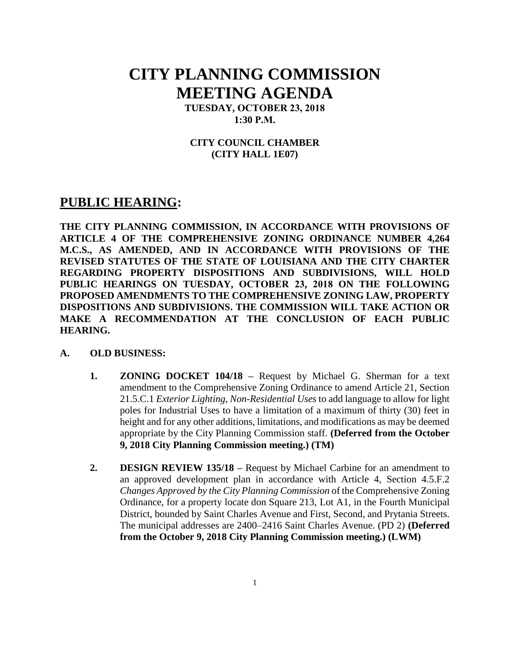# **CITY PLANNING COMMISSION MEETING AGENDA**

**TUESDAY, OCTOBER 23, 2018 1:30 P.M.**

#### **CITY COUNCIL CHAMBER (CITY HALL 1E07)**

### **PUBLIC HEARING:**

**THE CITY PLANNING COMMISSION, IN ACCORDANCE WITH PROVISIONS OF ARTICLE 4 OF THE COMPREHENSIVE ZONING ORDINANCE NUMBER 4,264 M.C.S., AS AMENDED, AND IN ACCORDANCE WITH PROVISIONS OF THE REVISED STATUTES OF THE STATE OF LOUISIANA AND THE CITY CHARTER REGARDING PROPERTY DISPOSITIONS AND SUBDIVISIONS, WILL HOLD PUBLIC HEARINGS ON TUESDAY, OCTOBER 23, 2018 ON THE FOLLOWING PROPOSED AMENDMENTS TO THE COMPREHENSIVE ZONING LAW, PROPERTY DISPOSITIONS AND SUBDIVISIONS. THE COMMISSION WILL TAKE ACTION OR MAKE A RECOMMENDATION AT THE CONCLUSION OF EACH PUBLIC HEARING.**

#### **A. OLD BUSINESS:**

- **1. ZONING DOCKET 104/18 –** Request by Michael G. Sherman for a text amendment to the Comprehensive Zoning Ordinance to amend Article 21, Section 21.5.C.1 *Exterior Lighting, Non-Residential Uses* to add language to allow for light poles for Industrial Uses to have a limitation of a maximum of thirty (30) feet in height and for any other additions, limitations, and modifications as may be deemed appropriate by the City Planning Commission staff. **(Deferred from the October 9, 2018 City Planning Commission meeting.) (TM)**
- **2. DESIGN REVIEW 135/18 –** Request by Michael Carbine for an amendment to an approved development plan in accordance with Article 4, Section 4.5.F.2 *Changes Approved by the City Planning Commission* of the Comprehensive Zoning Ordinance, for a property locate don Square 213, Lot A1, in the Fourth Municipal District, bounded by Saint Charles Avenue and First, Second, and Prytania Streets. The municipal addresses are 2400–2416 Saint Charles Avenue. (PD 2) **(Deferred from the October 9, 2018 City Planning Commission meeting.) (LWM)**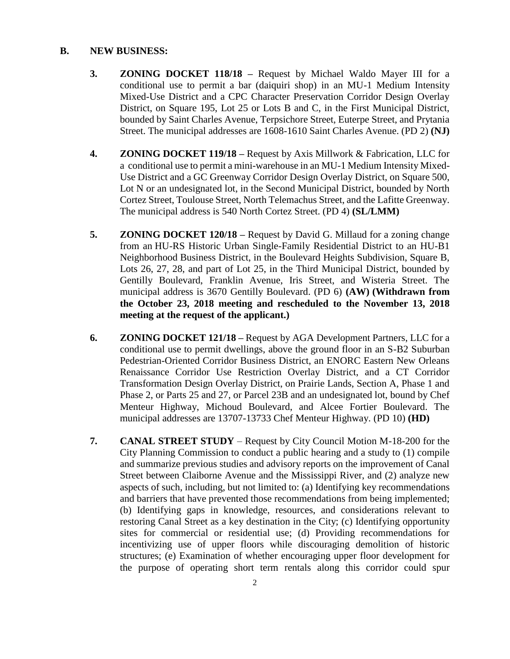#### **B. NEW BUSINESS:**

- **3. ZONING DOCKET 118/18 –** Request by Michael Waldo Mayer III for a conditional use to permit a bar (daiquiri shop) in an MU-1 Medium Intensity Mixed-Use District and a CPC Character Preservation Corridor Design Overlay District, on Square 195, Lot 25 or Lots B and C, in the First Municipal District, bounded by Saint Charles Avenue, Terpsichore Street, Euterpe Street, and Prytania Street. The municipal addresses are 1608-1610 Saint Charles Avenue. (PD 2) **(NJ)**
- **4. ZONING DOCKET 119/18 –** Request by Axis Millwork & Fabrication, LLC for a conditional use to permit a mini-warehouse in an MU-1 Medium Intensity Mixed-Use District and a GC Greenway Corridor Design Overlay District, on Square 500, Lot N or an undesignated lot, in the Second Municipal District, bounded by North Cortez Street, Toulouse Street, North Telemachus Street, and the Lafitte Greenway. The municipal address is 540 North Cortez Street. (PD 4) **(SL/LMM)**
- **5. ZONING DOCKET 120/18 –** Request by David G. Millaud for a zoning change from an HU-RS Historic Urban Single-Family Residential District to an HU-B1 Neighborhood Business District, in the Boulevard Heights Subdivision, Square B, Lots 26, 27, 28, and part of Lot 25, in the Third Municipal District, bounded by Gentilly Boulevard, Franklin Avenue, Iris Street, and Wisteria Street. The municipal address is 3670 Gentilly Boulevard. (PD 6) **(AW) (Withdrawn from the October 23, 2018 meeting and rescheduled to the November 13, 2018 meeting at the request of the applicant.)**
- **6. ZONING DOCKET 121/18 –** Request by AGA Development Partners, LLC for a conditional use to permit dwellings, above the ground floor in an S-B2 Suburban Pedestrian-Oriented Corridor Business District, an ENORC Eastern New Orleans Renaissance Corridor Use Restriction Overlay District, and a CT Corridor Transformation Design Overlay District, on Prairie Lands, Section A, Phase 1 and Phase 2, or Parts 25 and 27, or Parcel 23B and an undesignated lot, bound by Chef Menteur Highway, Michoud Boulevard, and Alcee Fortier Boulevard. The municipal addresses are 13707-13733 Chef Menteur Highway. (PD 10) **(HD)**
- **7. CANAL STREET STUDY** Request by City Council Motion M-18-200 for the City Planning Commission to conduct a public hearing and a study to (1) compile and summarize previous studies and advisory reports on the improvement of Canal Street between Claiborne Avenue and the Mississippi River, and (2) analyze new aspects of such, including, but not limited to: (a) Identifying key recommendations and barriers that have prevented those recommendations from being implemented; (b) Identifying gaps in knowledge, resources, and considerations relevant to restoring Canal Street as a key destination in the City; (c) Identifying opportunity sites for commercial or residential use; (d) Providing recommendations for incentivizing use of upper floors while discouraging demolition of historic structures; (e) Examination of whether encouraging upper floor development for the purpose of operating short term rentals along this corridor could spur